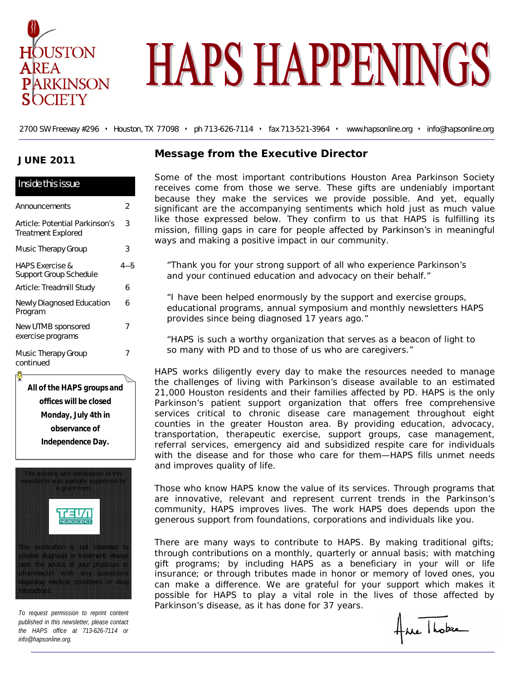

# **HAPS HAPPENINGS**

2700 SW Freeway #296 • Houston, TX 77098 • ph 713-626-7114 • fax 713-521-3964 • www.hapsonline.org • info@hapsonline.org

#### **JUNE 2011**

| Inside this issue                                           |     |
|-------------------------------------------------------------|-----|
| Announcements                                               | 2   |
| Article: Potential Parkinson's<br><b>Treatment Explored</b> | 3   |
| Music Therapy Group                                         | 3   |
| <b>HAPS Exercise &amp;</b><br>Support Group Schedule        | 4—5 |
| Article: Treadmill Study                                    | 6   |
| <b>Newly Diagnosed Education</b><br>Program                 | 6   |
| New UTMB sponsored<br>exercise programs                     | 7   |
| Music Therapy Group<br>continued                            | 7   |

**All of the HAPS groups and offices will be closed Monday, July 4th in observance of Independence Day.** 



*To request permission to reprint content published in this newsletter, please contact the HAPS office at 713-626-7114 or info@hapsonline.org.*

nteractions.

#### **Message from the Executive Director**

Some of the most important contributions Houston Area Parkinson Society receives come from those we serve. These gifts are undeniably important because they make the services we provide possible. And yet, equally significant are the accompanying sentiments which hold just as much value like those expressed below. They confirm to us that HAPS is fulfilling its mission, filling gaps in care for people affected by Parkinson's in meaningful ways and making a positive impact in our community.

*"Thank you for your strong support of all who experience Parkinson's and your continued education and advocacy on their behalf."* 

*"I have been helped enormously by the support and exercise groups, educational programs, annual symposium and monthly newsletters HAPS provides since being diagnosed 17 years ago."*

*"HAPS is such a worthy organization that serves as a beacon of light to so many with PD and to those of us who are caregivers."* 

HAPS works diligently every day to make the resources needed to manage the challenges of living with Parkinson's disease available to an estimated 21,000 Houston residents and their families affected by PD. HAPS is the only Parkinson's patient support organization that offers free comprehensive services critical to chronic disease care management throughout eight counties in the greater Houston area. By providing education, advocacy, transportation, therapeutic exercise, support groups, case management, referral services, emergency aid and subsidized respite care for individuals with the disease and for those who care for them—HAPS fills unmet needs and improves quality of life.

Those who know HAPS know the value of its services. Through programs that are innovative, relevant and represent current trends in the Parkinson's community, HAPS improves lives. The work HAPS does depends upon the generous support from foundations, corporations and individuals like you.

There are many ways to contribute to HAPS. By making traditional gifts; through contributions on a monthly, quarterly or annual basis; with matching gift programs; by including HAPS as a beneficiary in your will or life insurance; or through tributes made in honor or memory of loved ones, you can make a difference. We are grateful for your support which makes it possible for HAPS to play a vital role in the lives of those affected by Parkinson's disease, as it has done for 37 years.

Ane Hober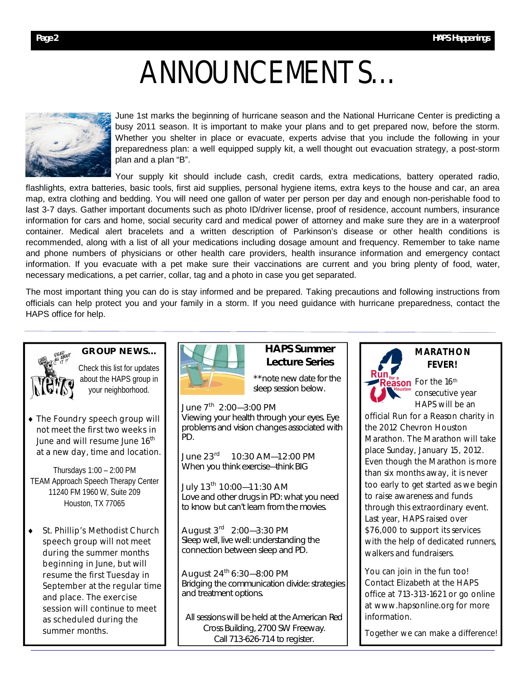## ANNOUNCEMENTS…



June 1st marks the beginning of hurricane season and the National Hurricane Center is predicting a busy 2011 season. It is important to make your plans and to get prepared now, before the storm. Whether you shelter in place or evacuate, experts advise that you include the following in your preparedness plan: a well equipped supply kit, a well thought out evacuation strategy, a post-storm plan and a plan "B".

Your supply kit should include cash, credit cards, extra medications, battery operated radio, flashlights, extra batteries, basic tools, first aid supplies, personal hygiene items, extra keys to the house and car, an area map, extra clothing and bedding. You will need one gallon of water per person per day and enough non-perishable food to last 3-7 days. Gather important documents such as photo ID/driver license, proof of residence, account numbers, insurance information for cars and home, social security card and medical power of attorney and make sure they are in a waterproof container. Medical alert bracelets and a written description of Parkinson's disease or other health conditions is recommended, along with a list of all your medications including dosage amount and frequency. Remember to take name and phone numbers of physicians or other health care providers, health insurance information and emergency contact information. If you evacuate with a pet make sure their vaccinations are current and you bring plenty of food, water, necessary medications, a pet carrier, collar, tag and a photo in case you get separated.

The most important thing you can do is stay informed and be prepared. Taking precautions and following instructions from officials can help protect you and your family in a storm. If you need guidance with hurricane preparedness, contact the HAPS office for help.



Check this list for updates about the HAPS group in

your neighborhood.

**GROUP NEWS…** 

◆ The Foundry speech group will not meet the first two weeks in June and will resume June 16<sup>th</sup> at a new day, time and location.

Thursdays 1:00 – 2:00 PM TEAM Approach Speech Therapy Center 11240 FM 1960 W, Suite 209 Houston, TX 77065

 St. Phillip's Methodist Church speech group will not meet during the summer months beginning in June, but will resume the first Tuesday in September at the regular time and place. The exercise session will continue to meet as scheduled during the summer months.



#### **HAPS Summer Lecture Series**

\*\*note new date for the sleep session below.

June 7<sup>th</sup> 2:00—3:00 PM *Viewing your health through your eyes.* Eye problems and vision changes associated with PD.

June 23<sup>rd</sup> 10:30 AM—12:00 PM *When you think exercise—think BIG*

July 13<sup>th</sup> 10:00-11:30 AM *Love and other drugs in PD: what you need to know but can't learn from the movies.* 

August 3rd 2:00—3:30 PM *Sleep well, live well: understanding the connection between sleep and PD.*

August  $24^{th}$  6:30–8:00 PM *Bridging the communication divide: strategies and treatment options.* 

All sessions will be held at the American Red Cross Building, 2700 SW Freeway. Call 713-626-714 to register.



#### **MARATHON FEVER!**

son For the 16<sup>th</sup> consecutive year HAPS will be an

official *Run for a Reason* charity in the 2012 Chevron Houston Marathon. The Marathon will take place Sunday, January 15, 2012. Even though the Marathon is more than six months away, it is never too early to get started as we begin to raise awareness and funds through this extraordinary event. Last year, HAPS raised over \$76,000 to support its services with the help of dedicated runners. walkers and fundraisers.

You can join in the fun too! Contact Elizabeth at the HAPS office at 713-313-1621 or go online at www.hapsonline.org for more information.

Together we can make a difference!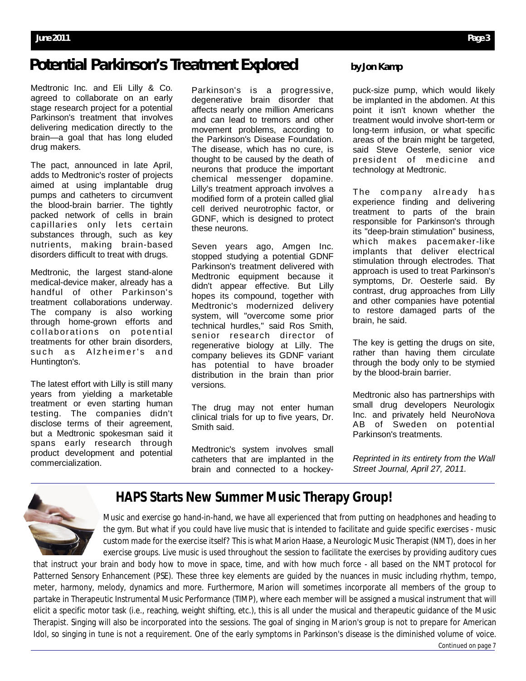### **Potential Parkinson's Treatment Explored by Jon Kamp**

Medtronic Inc. and Eli Lilly & Co. agreed to collaborate on an early stage research project for a potential Parkinson's treatment that involves delivering medication directly to the brain—a goal that has long eluded drug makers.

The pact, announced in late April, adds to Medtronic's roster of projects aimed at using implantable drug pumps and catheters to circumvent the blood-brain barrier. The tightly packed network of cells in brain capillaries only lets certain substances through, such as key nutrients, making brain-based disorders difficult to treat with drugs.

Medtronic, the largest stand-alone medical-device maker, already has a handful of other Parkinson's treatment collaborations underway. The company is also working through home-grown efforts and collaborations on potential treatments for other brain disorders, such as Alzheimer's and Huntington's.

The latest effort with Lilly is still many years from yielding a marketable treatment or even starting human testing. The companies didn't disclose terms of their agreement, but a Medtronic spokesman said it spans early research through product development and potential commercialization.

Parkinson's is a progressive, degenerative brain disorder that affects nearly one million Americans and can lead to tremors and other movement problems, according to the Parkinson's Disease Foundation. The disease, which has no cure, is thought to be caused by the death of neurons that produce the important chemical messenger dopamine. Lilly's treatment approach involves a modified form of a protein called glial cell derived neurotrophic factor, or GDNF, which is designed to protect these neurons.

Seven years ago, Amgen Inc. stopped studying a potential GDNF Parkinson's treatment delivered with Medtronic equipment because it didn't appear effective. But Lilly hopes its compound, together with Medtronic's modernized delivery system, will "overcome some prior technical hurdles," said Ros Smith, senior research director of regenerative biology at Lilly. The company believes its GDNF variant has potential to have broader distribution in the brain than prior versions.

The drug may not enter human clinical trials for up to five years, Dr. Smith said.

Medtronic's system involves small catheters that are implanted in the brain and connected to a hockey-

puck-size pump, which would likely be implanted in the abdomen. At this point it isn't known whether the treatment would involve short-term or long-term infusion, or what specific areas of the brain might be targeted, said Steve Oesterle, senior vice president of medicine and technology at Medtronic.

The company already has experience finding and delivering treatment to parts of the brain responsible for Parkinson's through its "deep-brain stimulation" business, which makes pacemaker-like implants that deliver electrical stimulation through electrodes. That approach is used to treat Parkinson's symptoms, Dr. Oesterle said. By contrast, drug approaches from Lilly and other companies have potential to restore damaged parts of the brain, he said.

The key is getting the drugs on site, rather than having them circulate through the body only to be stymied by the blood-brain barrier.

Medtronic also has partnerships with small drug developers Neurologix Inc. and privately held NeuroNova AB of Sweden on potential Parkinson's treatments.

*Reprinted in its entirety from the Wall Street Journal, April 27, 2011.* 



#### **HAPS Starts New Summer Music Therapy Group!**

Music and exercise go hand-in-hand, we have all experienced that from putting on headphones and heading to the gym. But what if you could have live music that is intended to facilitate and guide specific exercises - music custom made for the exercise itself? This is what Marion Haase, a Neurologic Music Therapist (NMT), does in her exercise groups. Live music is used throughout the session to facilitate the exercises by providing auditory cues

that instruct your brain and body how to move in space, time, and with how much force - all based on the NMT protocol for Patterned Sensory Enhancement (PSE). These three key elements are guided by the nuances in music including rhythm, tempo, meter, harmony, melody, dynamics and more. Furthermore, Marion will sometimes incorporate all members of the group to partake in Therapeutic Instrumental Music Performance (TIMP), where each member will be assigned a musical instrument that will elicit a specific motor task (i.e., reaching, weight shifting, etc.), this is all under the musical and therapeutic guidance of the Music Therapist. Singing will also be incorporated into the sessions. The goal of singing in Marion's group is not to prepare for American Idol, so singing in tune is not a requirement. One of the early symptoms in Parkinson's disease is the diminished volume of voice.

Continued on page 7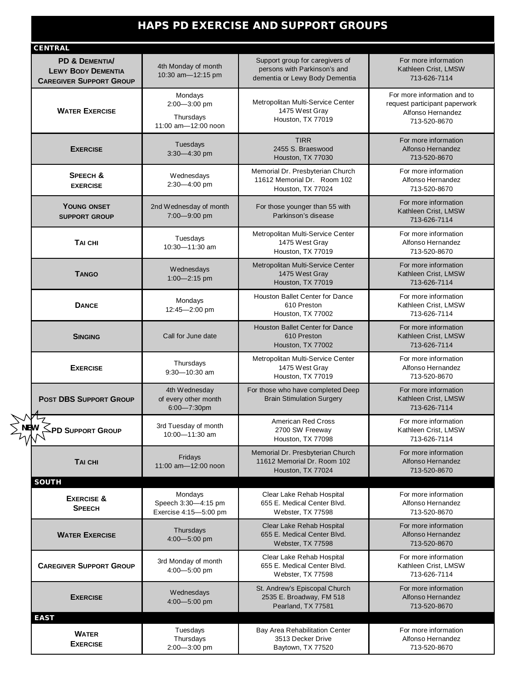#### **HAPS PD EXERCISE AND SUPPORT GROUPS**

| <b>CENTRAL</b>                                                                |                                                             |                                                                                                   |                                                                                                   |
|-------------------------------------------------------------------------------|-------------------------------------------------------------|---------------------------------------------------------------------------------------------------|---------------------------------------------------------------------------------------------------|
| PD & DEMENTIA/<br><b>LEWY BODY DEMENTIA</b><br><b>CAREGIVER SUPPORT GROUP</b> | 4th Monday of month<br>10:30 am-12:15 pm                    | Support group for caregivers of<br>persons with Parkinson's and<br>dementia or Lewy Body Dementia | For more information<br>Kathleen Crist, LMSW<br>713-626-7114                                      |
| <b>WATER EXERCISE</b>                                                         | Mondays<br>2:00-3:00 pm<br>Thursdays<br>11:00 am-12:00 noon | Metropolitan Multi-Service Center<br>1475 West Gray<br>Houston, TX 77019                          | For more information and to<br>request participant paperwork<br>Alfonso Hernandez<br>713-520-8670 |
| <b>EXERCISE</b>                                                               | Tuesdays<br>3:30-4:30 pm                                    | <b>TIRR</b><br>2455 S. Braeswood<br>Houston, TX 77030                                             | For more information<br>Alfonso Hernandez<br>713-520-8670                                         |
| <b>SPEECH &amp;</b><br><b>EXERCISE</b>                                        | Wednesdays<br>2:30-4:00 pm                                  | Memorial Dr. Presbyterian Church<br>11612 Memorial Dr. Room 102<br>Houston, TX 77024              | For more information<br>Alfonso Hernandez<br>713-520-8670                                         |
| <b>YOUNG ONSET</b><br><b>SUPPORT GROUP</b>                                    | 2nd Wednesday of month<br>7:00-9:00 pm                      | For those younger than 55 with<br>Parkinson's disease                                             | For more information<br>Kathleen Crist, LMSW<br>713-626-7114                                      |
| TAI CHI                                                                       | Tuesdays<br>10:30-11:30 am                                  | Metropolitan Multi-Service Center<br>1475 West Gray<br>Houston, TX 77019                          | For more information<br>Alfonso Hernandez<br>713-520-8670                                         |
| <b>TANGO</b>                                                                  | Wednesdays<br>$1:00 - 2:15$ pm                              | Metropolitan Multi-Service Center<br>1475 West Gray<br>Houston, TX 77019                          | For more information<br>Kathleen Crist, LMSW<br>713-626-7114                                      |
| <b>DANCE</b>                                                                  | Mondays<br>12:45-2:00 pm                                    | Houston Ballet Center for Dance<br>610 Preston<br>Houston, TX 77002                               | For more information<br>Kathleen Crist, LMSW<br>713-626-7114                                      |
| <b>SINGING</b>                                                                | Call for June date                                          | <b>Houston Ballet Center for Dance</b><br>610 Preston<br>Houston, TX 77002                        | For more information<br>Kathleen Crist, LMSW<br>713-626-7114                                      |
| <b>EXERCISE</b>                                                               | Thursdays<br>9:30-10:30 am                                  | Metropolitan Multi-Service Center<br>1475 West Gray<br>Houston, TX 77019                          | For more information<br>Alfonso Hernandez<br>713-520-8670                                         |
| <b>POST DBS SUPPORT GROUP</b>                                                 | 4th Wednesday<br>of every other month<br>6:00-7:30pm        | For those who have completed Deep<br><b>Brain Stimulation Surgery</b>                             | For more information<br>Kathleen Crist, LMSW<br>713-626-7114                                      |
| <b>ADE SUPPORT GROUP</b>                                                      | 3rd Tuesday of month<br>10:00-11:30 am                      | <b>American Red Cross</b><br>2700 SW Freeway<br>Houston, TX 77098                                 | For more information<br>Kathleen Crist, LMSW<br>713-626-7114                                      |
| TAI CHI                                                                       | Fridays<br>11:00 am-12:00 noon                              | Memorial Dr. Presbyterian Church<br>11612 Memorial Dr. Room 102<br>Houston, TX 77024              | For more information<br>Alfonso Hernandez<br>713-520-8670                                         |
| <b>SOUTH</b>                                                                  |                                                             |                                                                                                   |                                                                                                   |
| <b>EXERCISE &amp;</b><br><b>SPEECH</b>                                        | Mondays<br>Speech 3:30-4:15 pm<br>Exercise 4:15-5:00 pm     | Clear Lake Rehab Hospital<br>655 E. Medical Center Blvd.<br>Webster, TX 77598                     | For more information<br>Alfonso Hernandez<br>713-520-8670                                         |
| <b>WATER EXERCISE</b>                                                         | Thursdays<br>4:00-5:00 pm                                   | Clear Lake Rehab Hospital<br>655 E. Medical Center Blvd.<br>Webster, TX 77598                     | For more information<br>Alfonso Hernandez<br>713-520-8670                                         |
| <b>CAREGIVER SUPPORT GROUP</b>                                                | 3rd Monday of month<br>4:00-5:00 pm                         | Clear Lake Rehab Hospital<br>655 E. Medical Center Blvd.<br>Webster, TX 77598                     | For more information<br>Kathleen Crist, LMSW<br>713-626-7114                                      |
| <b>EXERCISE</b>                                                               | Wednesdays<br>4:00-5:00 pm                                  | St. Andrew's Episcopal Church<br>2535 E. Broadway, FM 518<br>Pearland, TX 77581                   | For more information<br>Alfonso Hernandez<br>713-520-8670                                         |
| <b>EAST</b>                                                                   |                                                             |                                                                                                   |                                                                                                   |
| <b>WATER</b><br><b>EXERCISE</b>                                               | Tuesdays<br>Thursdays<br>2:00-3:00 pm                       | Bay Area Rehabilitation Center<br>3513 Decker Drive<br>Baytown, TX 77520                          | For more information<br>Alfonso Hernandez<br>713-520-8670                                         |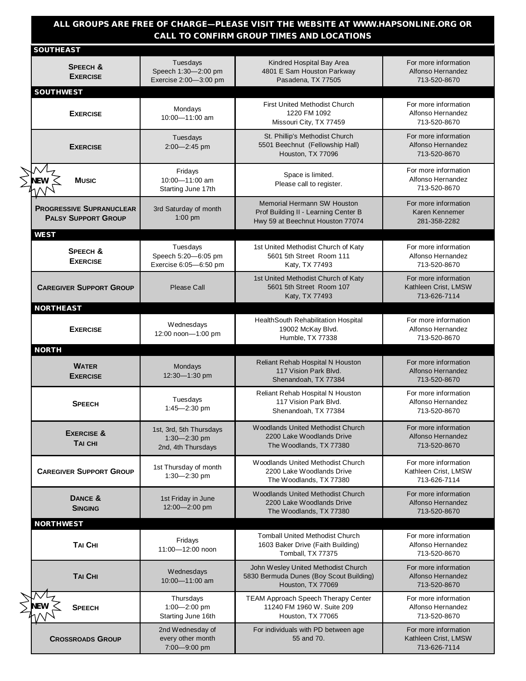#### **ALL GROUPS ARE FREE OF CHARGE—PLEASE VISIT THE WEBSITE AT WWW.HAPSONLINE.ORG OR CALL TO CONFIRM GROUP TIMES AND LOCATIONS**

| <b>SOUTHEAST</b>                                              |                                                               |                                                                                                                |                                                              |
|---------------------------------------------------------------|---------------------------------------------------------------|----------------------------------------------------------------------------------------------------------------|--------------------------------------------------------------|
| <b>SPEECH &amp;</b><br><b>EXERCISE</b>                        | Tuesdays<br>Speech 1:30-2:00 pm<br>Exercise 2:00-3:00 pm      | Kindred Hospital Bay Area<br>4801 E Sam Houston Parkway<br>Pasadena, TX 77505                                  | For more information<br>Alfonso Hernandez<br>713-520-8670    |
| <b>SOUTHWEST</b>                                              |                                                               |                                                                                                                |                                                              |
| <b>EXERCISE</b>                                               | Mondays<br>10:00-11:00 am                                     | <b>First United Methodist Church</b><br>1220 FM 1092<br>Missouri City, TX 77459                                | For more information<br>Alfonso Hernandez<br>713-520-8670    |
| <b>EXERCISE</b>                                               | Tuesdays<br>2:00-2:45 pm                                      | St. Phillip's Methodist Church<br>5501 Beechnut (Fellowship Hall)<br>Houston, TX 77096                         | For more information<br>Alfonso Hernandez<br>713-520-8670    |
| <b>Music</b>                                                  | Fridays<br>10:00-11:00 am<br>Starting June 17th               | Space is limited.<br>Please call to register.                                                                  | For more information<br>Alfonso Hernandez<br>713-520-8670    |
| <b>PROGRESSIVE SUPRANUCLEAR</b><br><b>PALSY SUPPORT GROUP</b> | 3rd Saturday of month<br>1:00 pm                              | <b>Memorial Hermann SW Houston</b><br>Prof Building II - Learning Center B<br>Hwy 59 at Beechnut Houston 77074 | For more information<br>Karen Kennemer<br>281-358-2282       |
| <b>WEST</b>                                                   |                                                               |                                                                                                                |                                                              |
| SPEECH &<br><b>EXERCISE</b>                                   | Tuesdays<br>Speech 5:20-6:05 pm<br>Exercise 6:05-6:50 pm      | 1st United Methodist Church of Katy<br>5601 5th Street Room 111<br>Katy, TX 77493                              | For more information<br>Alfonso Hernandez<br>713-520-8670    |
| <b>CAREGIVER SUPPORT GROUP</b>                                | Please Call                                                   | 1st United Methodist Church of Katy<br>5601 5th Street Room 107<br>Katy, TX 77493                              | For more information<br>Kathleen Crist, LMSW<br>713-626-7114 |
| <b>NORTHEAST</b>                                              |                                                               |                                                                                                                |                                                              |
| <b>EXERCISE</b>                                               | Wednesdays<br>12:00 noon-1:00 pm                              | HealthSouth Rehabilitation Hospital<br>19002 McKay Blvd.<br>Humble, TX 77338                                   | For more information<br>Alfonso Hernandez<br>713-520-8670    |
| <b>NORTH</b>                                                  |                                                               |                                                                                                                |                                                              |
|                                                               |                                                               |                                                                                                                |                                                              |
| <b>WATER</b><br><b>EXERCISE</b>                               | Mondays<br>12:30-1:30 pm                                      | Reliant Rehab Hospital N Houston<br>117 Vision Park Blvd.<br>Shenandoah, TX 77384                              | For more information<br>Alfonso Hernandez<br>713-520-8670    |
| <b>SPEECH</b>                                                 | Tuesdays<br>1:45- $-2:30$ pm                                  | Reliant Rehab Hospital N Houston<br>117 Vision Park Blvd.<br>Shenandoah, TX 77384                              | For more information<br>Alfonso Hernandez<br>713-520-8670    |
| <b>EXERCISE &amp;</b><br><b>TAI CHI</b>                       | 1st, 3rd, 5th Thursdays<br>1:30-2:30 pm<br>2nd, 4th Thursdays | Woodlands United Methodist Church<br>2200 Lake Woodlands Drive<br>The Woodlands, TX 77380                      | For more information<br>Alfonso Hernandez<br>713-520-8670    |
| <b>CAREGIVER SUPPORT GROUP</b>                                | 1st Thursday of month<br>1:30-2:30 pm                         | Woodlands United Methodist Church<br>2200 Lake Woodlands Drive<br>The Woodlands, TX 77380                      | For more information<br>Kathleen Crist, LMSW<br>713-626-7114 |
| DANCE &<br><b>SINGING</b>                                     | 1st Friday in June<br>12:00-2:00 pm                           | <b>Woodlands United Methodist Church</b><br>2200 Lake Woodlands Drive<br>The Woodlands, TX 77380               | For more information<br>Alfonso Hernandez<br>713-520-8670    |
| <b>NORTHWEST</b>                                              |                                                               |                                                                                                                |                                                              |
| <b>TAI CHI</b>                                                | Fridays<br>11:00-12:00 noon                                   | <b>Tomball United Methodist Church</b><br>1603 Baker Drive (Faith Building)<br>Tomball, TX 77375               | For more information<br>Alfonso Hernandez<br>713-520-8670    |
| <b>TAI CHI</b>                                                | Wednesdays<br>10:00-11:00 am                                  | John Wesley United Methodist Church<br>5830 Bermuda Dunes (Boy Scout Building)<br>Houston, TX 77069            | For more information<br>Alfonso Hernandez<br>713-520-8670    |
| <b>SPEECH</b>                                                 | Thursdays<br>$1:00 - 2:00$ pm<br>Starting June 16th           | TEAM Approach Speech Therapy Center<br>11240 FM 1960 W. Suite 209<br>Houston, TX 77065                         | For more information<br>Alfonso Hernandez<br>713-520-8670    |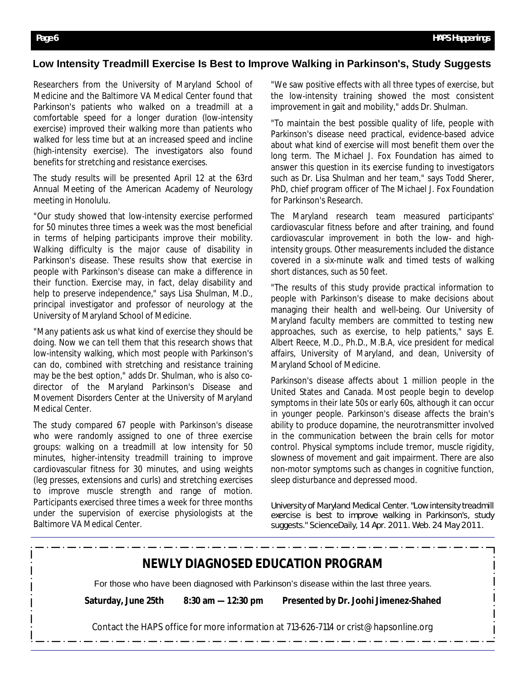#### **Low Intensity Treadmill Exercise Is Best to Improve Walking in Parkinson's, Study Suggests**

Researchers from the University of Maryland School of Medicine and the Baltimore VA Medical Center found that Parkinson's patients who walked on a treadmill at a comfortable speed for a longer duration (low-intensity exercise) improved their walking more than patients who walked for less time but at an increased speed and incline (high-intensity exercise). The investigators also found benefits for stretching and resistance exercises.

The study results will be presented April 12 at the 63rd Annual Meeting of the American Academy of Neurology meeting in Honolulu.

"Our study showed that low-intensity exercise performed for 50 minutes three times a week was the most beneficial in terms of helping participants improve their mobility. Walking difficulty is the major cause of disability in Parkinson's disease. These results show that exercise in people with Parkinson's disease can make a difference in their function. Exercise may, in fact, delay disability and help to preserve independence," says Lisa Shulman, M.D., principal investigator and professor of neurology at the University of Maryland School of Medicine.

"Many patients ask us what kind of exercise they should be doing. Now we can tell them that this research shows that low-intensity walking, which most people with Parkinson's can do, combined with stretching and resistance training may be the best option," adds Dr. Shulman, who is also codirector of the Maryland Parkinson's Disease and Movement Disorders Center at the University of Maryland Medical Center.

The study compared 67 people with Parkinson's disease who were randomly assigned to one of three exercise groups: walking on a treadmill at low intensity for 50 minutes, higher-intensity treadmill training to improve cardiovascular fitness for 30 minutes, and using weights (leg presses, extensions and curls) and stretching exercises to improve muscle strength and range of motion. Participants exercised three times a week for three months under the supervision of exercise physiologists at the Baltimore VA Medical Center.

"We saw positive effects with all three types of exercise, but the low-intensity training showed the most consistent improvement in gait and mobility," adds Dr. Shulman.

"To maintain the best possible quality of life, people with Parkinson's disease need practical, evidence-based advice about what kind of exercise will most benefit them over the long term. The Michael J. Fox Foundation has aimed to answer this question in its exercise funding to investigators such as Dr. Lisa Shulman and her team," says Todd Sherer, PhD, chief program officer of The Michael J. Fox Foundation for Parkinson's Research.

The Maryland research team measured participants' cardiovascular fitness before and after training, and found cardiovascular improvement in both the low- and highintensity groups. Other measurements included the distance covered in a six-minute walk and timed tests of walking short distances, such as 50 feet.

"The results of this study provide practical information to people with Parkinson's disease to make decisions about managing their health and well-being. Our University of Maryland faculty members are committed to testing new approaches, such as exercise, to help patients," says E. Albert Reece, M.D., Ph.D., M.B.A, vice president for medical affairs, University of Maryland, and dean, University of Maryland School of Medicine.

Parkinson's disease affects about 1 million people in the United States and Canada. Most people begin to develop symptoms in their late 50s or early 60s, although it can occur in younger people. Parkinson's disease affects the brain's ability to produce dopamine, the neurotransmitter involved in the communication between the brain cells for motor control. Physical symptoms include tremor, muscle rigidity, slowness of movement and gait impairment. There are also non-motor symptoms such as changes in cognitive function, sleep disturbance and depressed mood.

University of Maryland Medical Center. "Low intensity treadmill exercise is best to improve walking in Parkinson's, study suggests." *ScienceDaily*, 14 Apr. 2011. Web. 24 May 2011.

|                     |                       | <b>NEWLY DIAGNOSED EDUCATION PROGRAM</b>                                                |
|---------------------|-----------------------|-----------------------------------------------------------------------------------------|
|                     |                       | For those who have been diagnosed with Parkinson's disease within the last three years. |
| Saturday, June 25th | $8:30$ am $-12:30$ pm | Presented by Dr. Joohi Jimenez-Shahed                                                   |
|                     |                       | Contact the HAPS office for more information at 713-626-7114 or crist@hapsonline.org    |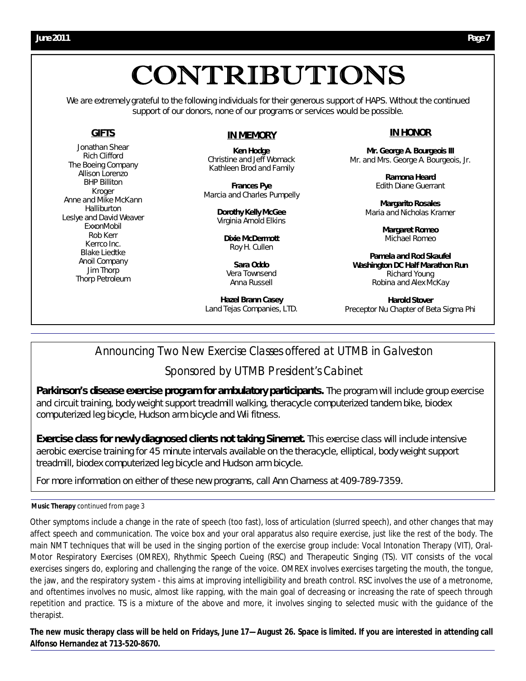## CONTRIBUTIONS

We are extremely grateful to the following individuals for their generous support of HAPS. Without the continued support of our donors, none of our programs or services would be possible.

#### **GIFTS**

Jonathan Shear Rich Clifford The Boeing Company Allison Lorenzo BHP Billiton Kroger Anne and Mike McKann **Halliburton** Leslye and David Weaver ExxonMobil Rob Kerr Kerrco Inc. Blake Liedtke Anoil Company Jim Thorp Thorp Petroleum

#### **IN MEMORY**

*Ken Hodge* Christine and Jeff Womack Kathleen Brod and Family

*Frances Pye* Marcia and Charles Pumpelly

> *Dorothy Kelly McGee* Virginia Arnold Elkins

*Dixie McDermott* Roy H. Cullen

*Sara Oddo* Vera Townsend Anna Russell

*Hazel Brann Casey* Land Tejas Companies, LTD.

#### **IN HONOR**

*Mr. George A. Bourgeois III* Mr. and Mrs. George A. Bourgeois, Jr.

> *Ramona Heard* Edith Diane Guerrant

*Margarito Rosales*  Maria and Nicholas Kramer

> *Margaret Romeo* Michael Romeo

*Pamela and Rod Skaufel Washington DC Half Marathon Run* Richard Young Robina and Alex McKay

*Harold Stover* Preceptor Nu Chapter of Beta Sigma Phi

#### Announcing Two New Exercise Classes offered at UTMB in Galveston

#### Sponsored by *UTMB President's Cabinet*

Parkinson's disease exercise program for ambulatory participants. The program will include group exercise and circuit training, body weight support treadmill walking, theracycle computerized tandem bike, biodex computerized leg bicycle, Hudson arm bicycle and Wii fitness.

**Exercise class for newly diagnosed clients not taking Sinemet.** This exercise class will include intensive aerobic exercise training for 45 minute intervals available on the theracycle, elliptical, body weight support treadmill, biodex computerized leg bicycle and Hudson arm bicycle.

For more information on either of these new programs, call Ann Charness at 409-789-7359.

#### **Music Therapy** continued from page 3

Other symptoms include a change in the rate of speech (too fast), loss of articulation (slurred speech), and other changes that may affect speech and communication. The voice box and your oral apparatus also require exercise, just like the rest of the body. The main NMT techniques that will be used in the singing portion of the exercise group include: Vocal Intonation Therapy (VIT), Oral-Motor Respiratory Exercises (OMREX), Rhythmic Speech Cueing (RSC) and Therapeutic Singing (TS). VIT consists of the vocal exercises singers do, exploring and challenging the range of the voice. OMREX involves exercises targeting the mouth, the tongue, the jaw, and the respiratory system - this aims at improving intelligibility and breath control. RSC involves the use of a metronome, and oftentimes involves no music, almost like rapping, with the main goal of decreasing or increasing the rate of speech through repetition and practice. TS is a mixture of the above and more, it involves singing to selected music with the guidance of the therapist.

**The new music therapy class will be held on Fridays, June 17—August 26. Space is limited. If you are interested in attending call Alfonso Hernandez at 713-520-8670.**